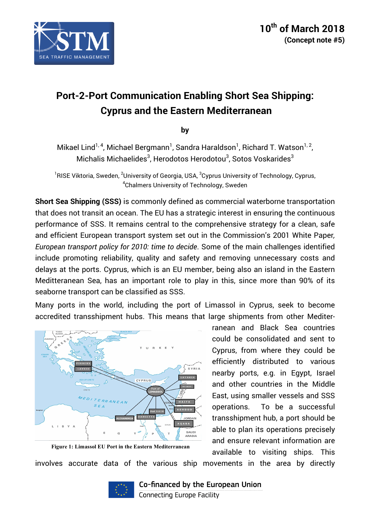

# **Port-2-Port Communication Enabling Short Sea Shipping: Cyprus and the Eastern Mediterranean**

**by**

Mikael Lind $^{1,\,4}$ , Michael Bergmann $^1$ , Sandra Haraldson $^1$ , Richard T. Watson $^{1,\,2}$ , Michalis Michaelides $^3$ , Herodotos Herodotou $^3$ , Sotos Voskarides $^3$ 

 $^{\rm 1}$ RISE Viktoria, Sweden,  $^{\rm 2}$ University of Georgia, USA,  $^{\rm 3}$ Cyprus University of Technology, Cyprus,  ${\rm ^4}$ Chalmers University of Technology, Sweden

**Short Sea Shipping (SSS)** is commonly defined as commercial waterborne transportation that does not transit an ocean. The EU has a strategic interest in ensuring the continuous performance of SSS. It remains central to the comprehensive strategy for a clean, safe and efficient European transport system set out in the Commission's 2001 White Paper*, European transport policy for 2010: time to decide*. Some of the main challenges identified include promoting reliability, quality and safety and removing unnecessary costs and delays at the ports. Cyprus, which is an EU member, being also an island in the Eastern Meditteranean Sea, has an important role to play in this, since more than 90% of its seaborne transport can be classified as SSS.

Many ports in the world, including the port of Limassol in Cyprus, seek to become accredited transshipment hubs. This means that large shipments from other Mediter-



**Figure 1: Limassol EU Port in the Eastern Mediterranean**

ranean and Black Sea countries could be consolidated and sent to Cyprus, from where they could be efficiently distributed to various nearby ports, e.g. in Egypt, Israel and other countries in the Middle East, using smaller vessels and SSS operations. To be a successful transshipment hub, a port should be able to plan its operations precisely and ensure relevant information are available to visiting ships. This

involves accurate data of the various ship movements in the area by directly

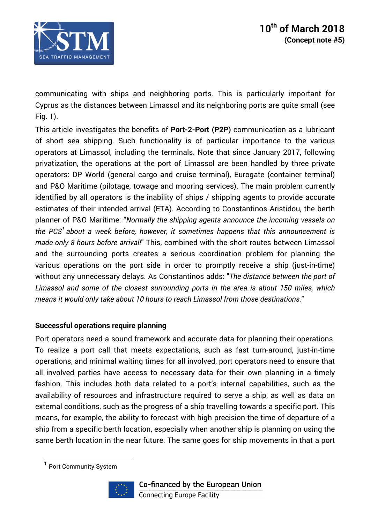

communicating with ships and neighboring ports. This is particularly important for Cyprus as the distances between Limassol and its neighboring ports are quite small (see Fig. 1).

This article investigates the benefits of **Port-2-Port (P2P)** communication as a lubricant of short sea shipping. Such functionality is of particular importance to the various operators at Limassol, including the terminals. Note that since January 2017, following privatization, the operations at the port of Limassol are been handled by three private operators: DP World (general cargo and cruise terminal), Eurogate (container terminal) and P&O Maritime (pilotage, towage and mooring services). The main problem currently identified by all operators is the inability of ships / shipping agents to provide accurate estimates of their intended arrival (ETA). According to Constantinos Aristidou, the berth planner of P&O Maritime: "*Normally the shipping agents announce the incoming vessels on the PCS1 about a week before, however, it sometimes happens that this announcement is made only 8 hours before arrival!*" This, combined with the short routes between Limassol and the surrounding ports creates a serious coordination problem for planning the various operations on the port side in order to promptly receive a ship (just-in-time) without any unnecessary delays. As Constantinos adds: "*The distance between the port of Limassol and some of the closest surrounding ports in the area is about 150 miles, which means it would only take about 10 hours to reach Limassol from those destinations.*"

### **Successful operations require planning**

Port operators need a sound framework and accurate data for planning their operations. To realize a port call that meets expectations, such as fast turn-around, just-in-time operations, and minimal waiting times for all involved, port operators need to ensure that all involved parties have access to necessary data for their own planning in a timely fashion. This includes both data related to a port's internal capabilities, such as the availability of resources and infrastructure required to serve a ship, as well as data on external conditions, such as the progress of a ship travelling towards a specific port. This means, for example, the ability to forecast with high precision the time of departure of a ship from a specific berth location, especially when another ship is planning on using the same berth location in the near future. The same goes for ship movements in that a port

 $\overline{a}$ 



<sup>&</sup>lt;sup>1</sup> Port Community System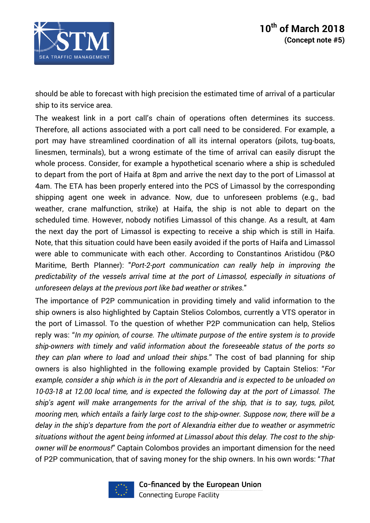

should be able to forecast with high precision the estimated time of arrival of a particular ship to its service area.

The weakest link in a port call's chain of operations often determines its success. Therefore, all actions associated with a port call need to be considered. For example, a port may have streamlined coordination of all its internal operators (pilots, tug-boats, linesmen, terminals), but a wrong estimate of the time of arrival can easily disrupt the whole process. Consider, for example a hypothetical scenario where a ship is scheduled to depart from the port of Haifa at 8pm and arrive the next day to the port of Limassol at 4am. The ETA has been properly entered into the PCS of Limassol by the corresponding shipping agent one week in advance. Now, due to unforeseen problems (e.g., bad weather, crane malfunction, strike) at Haifa, the ship is not able to depart on the scheduled time. However, nobody notifies Limassol of this change. As a result, at 4am the next day the port of Limassol is expecting to receive a ship which is still in Haifa. Note, that this situation could have been easily avoided if the ports of Haifa and Limassol were able to communicate with each other. According to Constantinos Aristidou (P&O Maritime, Berth Planner): "*Port-2-port communication can really help in improving the predictability of the vessels arrival time at the port of Limassol, especially in situations of unforeseen delays at the previous port like bad weather or strikes.*"

The importance of P2P communication in providing timely and valid information to the ship owners is also highlighted by Captain Stelios Colombos, currently a VTS operator in the port of Limassol. To the question of whether P2P communication can help, Stelios reply was: "*In my opinion, of course. The ultimate purpose of the entire system is to provide ship-owners with timely and valid information about the foreseeable status of the ports so they can plan where to load and unload their ships.*" The cost of bad planning for ship owners is also highlighted in the following example provided by Captain Stelios: "*For example, consider a ship which is in the port of Alexandria and is expected to be unloaded on 10-03-18 at 12.00 local time, and is expected the following day at the port of Limassol. The ship's agent will make arrangements for the arrival of the ship, that is to say, tugs, pilot, mooring men, which entails a fairly large cost to the ship-owner. Suppose now, there will be a delay in the ship's departure from the port of Alexandria either due to weather or asymmetric situations without the agent being informed at Limassol about this delay. The cost to the shipowner will be enormous!*" Captain Colombos provides an important dimension for the need of P2P communication, that of saving money for the ship owners. In his own words: "*That*

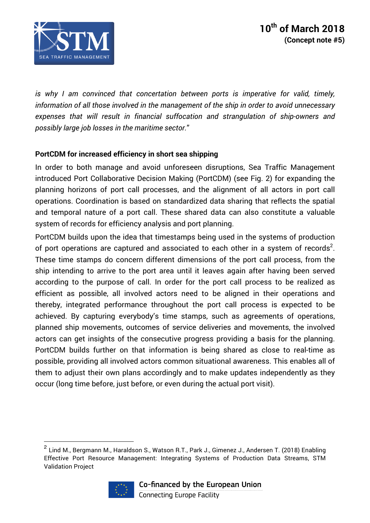

*is why I am convinced that concertation between ports is imperative for valid, timely, information of all those involved in the management of the ship in order to avoid unnecessary expenses that will result in financial suffocation and strangulation of ship-owners and possibly large job losses in the maritime sector.*"

## **PortCDM for increased efficiency in short sea shipping**

In order to both manage and avoid unforeseen disruptions, Sea Traffic Management introduced Port Collaborative Decision Making (PortCDM) (see Fig. 2) for expanding the planning horizons of port call processes, and the alignment of all actors in port call operations. Coordination is based on standardized data sharing that reflects the spatial and temporal nature of a port call. These shared data can also constitute a valuable system of records for efficiency analysis and port planning.

PortCDM builds upon the idea that timestamps being used in the systems of production of port operations are captured and associated to each other in a system of records<sup>2</sup>. These time stamps do concern different dimensions of the port call process, from the ship intending to arrive to the port area until it leaves again after having been served according to the purpose of call. In order for the port call process to be realized as efficient as possible, all involved actors need to be aligned in their operations and thereby, integrated performance throughout the port call process is expected to be achieved. By capturing everybody's time stamps, such as agreements of operations, planned ship movements, outcomes of service deliveries and movements, the involved actors can get insights of the consecutive progress providing a basis for the planning. PortCDM builds further on that information is being shared as close to real-time as possible, providing all involved actors common situational awareness. This enables all of them to adjust their own plans accordingly and to make updates independently as they occur (long time before, just before, or even during the actual port visit).

 $^2$  Lind M., Bergmann M., Haraldson S., Watson R.T., Park J., Gimenez J., Andersen T. (2018) Enabling Effective Port Resource Management: Integrating Systems of Production Data Streams, STM Validation Project



 $\overline{a}$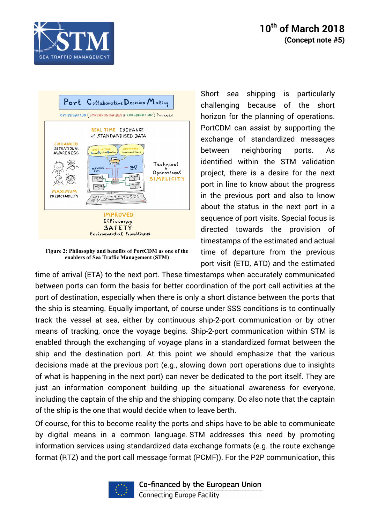





**Figure 2: Philosophy and benefits of PortCDM as one of the enablers of Sea Traffic Management (STM)**

Short sea shipping is particularly challenging because of the short horizon for the planning of operations. PortCDM can assist by supporting the exchange of standardized messages between neighboring ports. As identified within the STM validation project, there is a desire for the next port in line to know about the progress in the previous port and also to know about the status in the next port in a sequence of port visits. Special focus is directed towards the provision of timestamps of the estimated and actual time of departure from the previous port visit (ETD, ATD) and the estimated

time of arrival (ETA) to the next port. These timestamps when accurately communicated between ports can form the basis for better coordination of the port call activities at the port of destination, especially when there is only a short distance between the ports that the ship is steaming. Equally important, of course under SSS conditions is to continually track the vessel at sea, either by continuous ship-2-port communication or by other means of tracking, once the voyage begins. Ship-2-port communication within STM is enabled through the exchanging of voyage plans in a standardized format between the ship and the destination port. At this point we should emphasize that the various decisions made at the previous port (e.g., slowing down port operations due to insights of what is happening in the next port) can never be dedicated to the port itself. They are just an information component building up the situational awareness for everyone, including the captain of the ship and the shipping company. Do also note that the captain of the ship is the one that would decide when to leave berth.

Of course, for this to become reality the ports and ships have to be able to communicate by digital means in a common language. STM addresses this need by promoting information services using standardized data exchange formats (e.g. the route exchange format (RTZ) and the port call message format (PCMF)). For the P2P communication, this

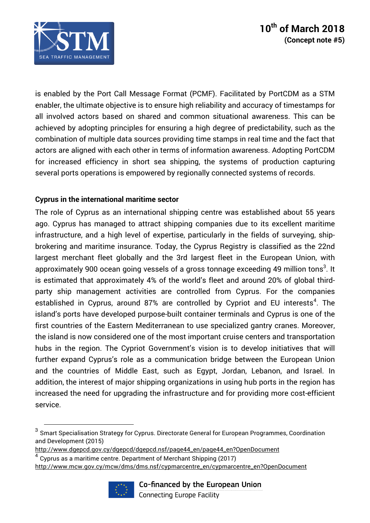

is enabled by the Port Call Message Format (PCMF). Facilitated by PortCDM as a STM enabler, the ultimate objective is to ensure high reliability and accuracy of timestamps for all involved actors based on shared and common situational awareness. This can be achieved by adopting principles for ensuring a high degree of predictability, such as the combination of multiple data sources providing time stamps in real time and the fact that actors are aligned with each other in terms of information awareness. Adopting PortCDM for increased efficiency in short sea shipping, the systems of production capturing several ports operations is empowered by regionally connected systems of records.

## **Cyprus in the international maritime sector**

The role of Cyprus as an international shipping centre was established about 55 years ago. Cyprus has managed to attract shipping companies due to its excellent maritime infrastructure, and a high level of expertise, particularly in the fields of surveying, shipbrokering and maritime insurance. Today, the Cyprus Registry is classified as the 22nd largest merchant fleet globally and the 3rd largest fleet in the European Union, with approximately 900 ocean going vessels of a gross tonnage exceeding 49 million tons $^3$ . It is estimated that approximately 4% of the world's fleet and around 20% of global thirdparty ship management activities are controlled from Cyprus. For the companies established in Cyprus, around 87% are controlled by Cypriot and EU interests<sup>4</sup>. The island's ports have developed purpose-built container terminals and Cyprus is one of the first countries of the Eastern Mediterranean to use specialized gantry cranes. Moreover, the island is now considered one of the most important cruise centers and transportation hubs in the region. The Cypriot Government's vision is to develop initiatives that will further expand Cyprus's role as a communication bridge between the European Union and the countries of Middle East, such as Egypt, Jordan, Lebanon, and Israel. In addition, the interest of major shipping organizations in using hub ports in the region has increased the need for upgrading the infrastructure and for providing more cost-efficient service.

 $4$  Cyprus as a maritime centre. Department of Merchant Shipping (2017) http://www.mcw.gov.cy/mcw/dms/dms.nsf/cypmarcentre\_en/cypmarcentre\_en?OpenDocument



 $\overline{a}$ 

 $3$  Smart Specialisation Strategy for Cyprus. Directorate General for European Programmes, Coordination and Development (2015)

http://www.dgepcd.gov.cy/dgepcd/dgepcd.nsf/page44\_en/page44\_en?OpenDocument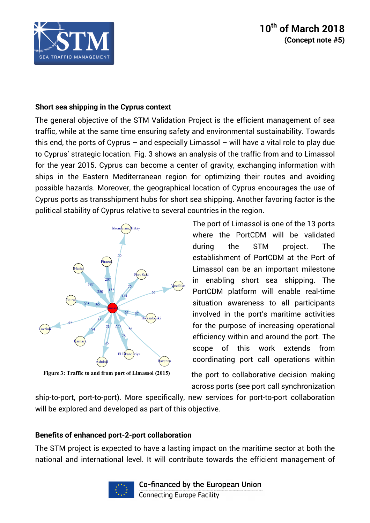

# **10th of March 2018 (Concept note #5)**

### **Short sea shipping in the Cyprus context**

The general objective of the STM Validation Project is the efficient management of sea traffic, while at the same time ensuring safety and environmental sustainability. Towards this end, the ports of Cyprus – and especially Limassol – will have a vital role to play due to Cyprus' strategic location. Fig. 3 shows an analysis of the traffic from and to Limassol for the year 2015. Cyprus can become a center of gravity, exchanging information with ships in the Eastern Mediterranean region for optimizing their routes and avoiding possible hazards. Moreover, the geographical location of Cyprus encourages the use of Cyprus ports as transshipment hubs for short sea shipping. Another favoring factor is the political stability of Cyprus relative to several countries in the region.



**Figure 3: Traffic to and from port of Limassol (2015)**

The port of Limassol is one of the 13 ports where the PortCDM will be validated during the STM project. The establishment of PortCDM at the Port of Limassol can be an important milestone in enabling short sea shipping. The PortCDM platform will enable real-time situation awareness to all participants involved in the port's maritime activities for the purpose of increasing operational efficiency within and around the port. The scope of this work extends from coordinating port call operations within

the port to collaborative decision making across ports (see port call synchronization

ship-to-port, port-to-port). More specifically, new services for port-to-port collaboration will be explored and developed as part of this objective.

### **Benefits of enhanced port-2-port collaboration**

The STM project is expected to have a lasting impact on the maritime sector at both the national and international level. It will contribute towards the efficient management of